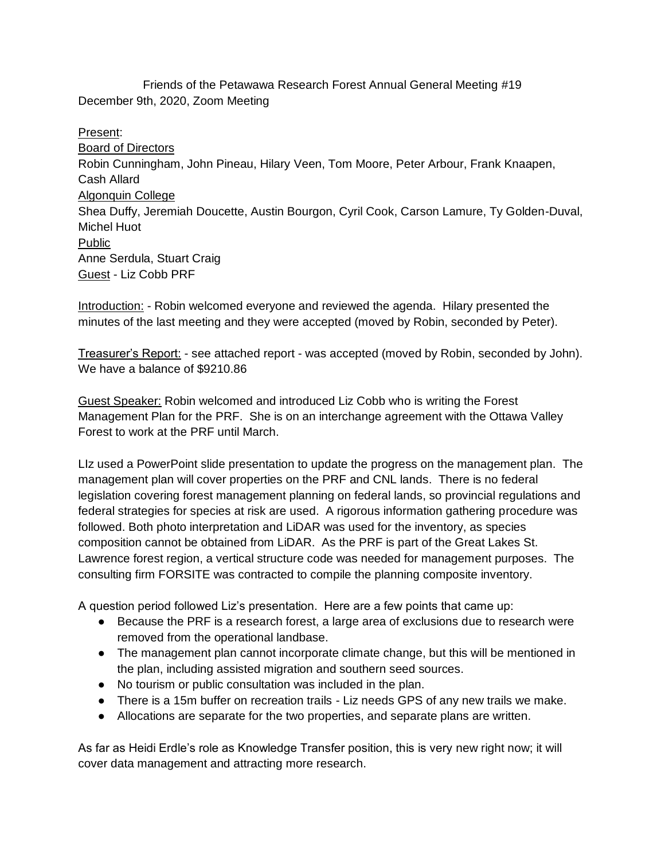Friends of the Petawawa Research Forest Annual General Meeting #19 December 9th, 2020, Zoom Meeting

Present: Board of Directors Robin Cunningham, John Pineau, Hilary Veen, Tom Moore, Peter Arbour, Frank Knaapen, Cash Allard Algonquin College Shea Duffy, Jeremiah Doucette, Austin Bourgon, Cyril Cook, Carson Lamure, Ty Golden-Duval, Michel Huot Public Anne Serdula, Stuart Craig Guest - Liz Cobb PRF

Introduction: - Robin welcomed everyone and reviewed the agenda. Hilary presented the minutes of the last meeting and they were accepted (moved by Robin, seconded by Peter).

Treasurer's Report: - see attached report - was accepted (moved by Robin, seconded by John). We have a balance of \$9210.86

Guest Speaker: Robin welcomed and introduced Liz Cobb who is writing the Forest Management Plan for the PRF. She is on an interchange agreement with the Ottawa Valley Forest to work at the PRF until March.

LIz used a PowerPoint slide presentation to update the progress on the management plan. The management plan will cover properties on the PRF and CNL lands. There is no federal legislation covering forest management planning on federal lands, so provincial regulations and federal strategies for species at risk are used. A rigorous information gathering procedure was followed. Both photo interpretation and LiDAR was used for the inventory, as species composition cannot be obtained from LiDAR. As the PRF is part of the Great Lakes St. Lawrence forest region, a vertical structure code was needed for management purposes. The consulting firm FORSITE was contracted to compile the planning composite inventory.

A question period followed Liz's presentation. Here are a few points that came up:

- Because the PRF is a research forest, a large area of exclusions due to research were removed from the operational landbase.
- The management plan cannot incorporate climate change, but this will be mentioned in the plan, including assisted migration and southern seed sources.
- No tourism or public consultation was included in the plan.
- There is a 15m buffer on recreation trails Liz needs GPS of any new trails we make.
- Allocations are separate for the two properties, and separate plans are written.

As far as Heidi Erdle's role as Knowledge Transfer position, this is very new right now; it will cover data management and attracting more research.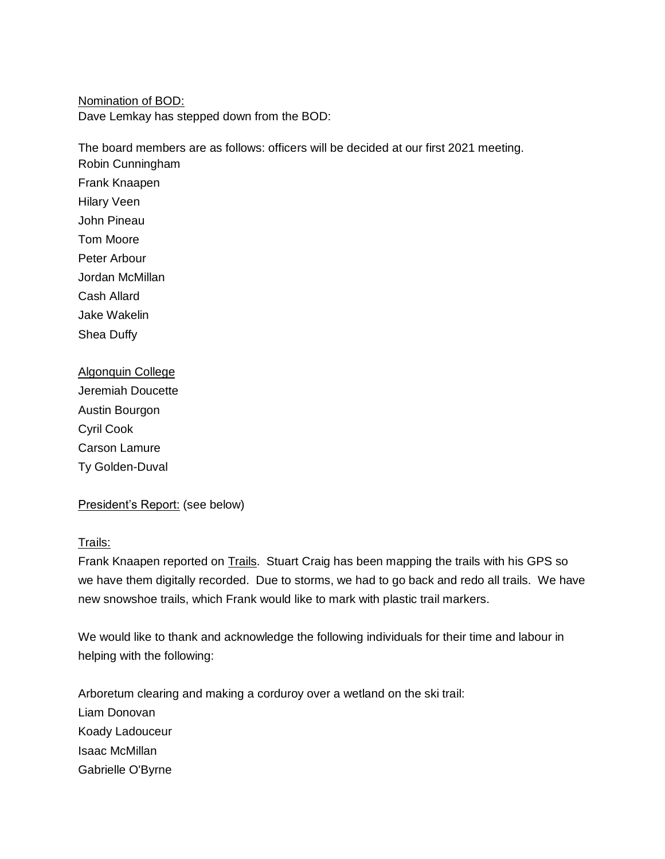Nomination of BOD: Dave Lemkay has stepped down from the BOD:

The board members are as follows: officers will be decided at our first 2021 meeting. Robin Cunningham Frank Knaapen Hilary Veen John Pineau Tom Moore Peter Arbour Jordan McMillan Cash Allard Jake Wakelin Shea Duffy

# Algonquin College

Jeremiah Doucette Austin Bourgon Cyril Cook Carson Lamure Ty Golden-Duval

## President's Report: (see below)

## Trails:

Frank Knaapen reported on Trails. Stuart Craig has been mapping the trails with his GPS so we have them digitally recorded. Due to storms, we had to go back and redo all trails. We have new snowshoe trails, which Frank would like to mark with plastic trail markers.

We would like to thank and acknowledge the following individuals for their time and labour in helping with the following:

Arboretum clearing and making a corduroy over a wetland on the ski trail: Liam Donovan Koady Ladouceur Isaac McMillan Gabrielle O'Byrne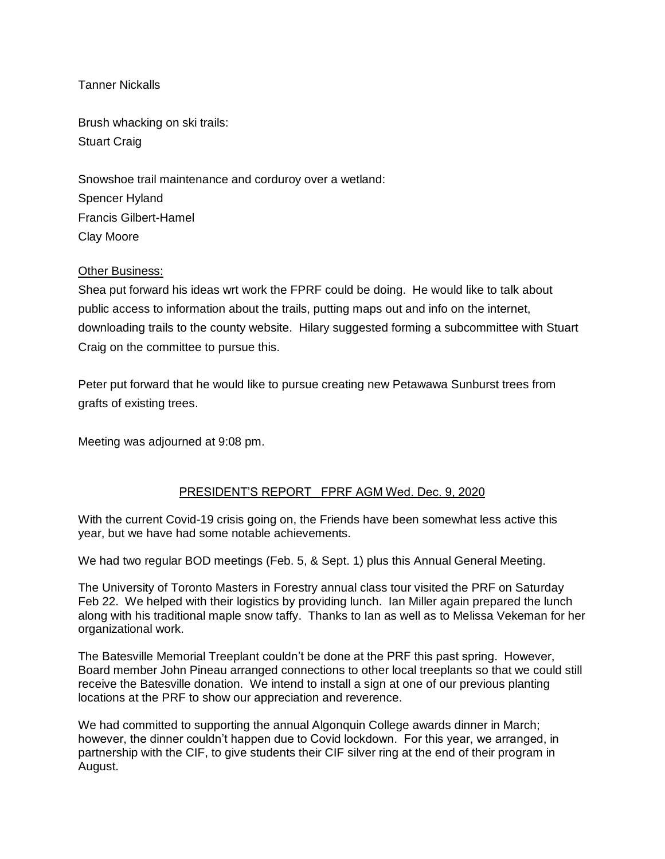Tanner Nickalls

Brush whacking on ski trails: Stuart Craig

Snowshoe trail maintenance and corduroy over a wetland: Spencer Hyland Francis Gilbert-Hamel Clay Moore

## Other Business:

Shea put forward his ideas wrt work the FPRF could be doing. He would like to talk about public access to information about the trails, putting maps out and info on the internet, downloading trails to the county website. Hilary suggested forming a subcommittee with Stuart Craig on the committee to pursue this.

Peter put forward that he would like to pursue creating new Petawawa Sunburst trees from grafts of existing trees.

Meeting was adjourned at 9:08 pm.

# PRESIDENT'S REPORT FPRF AGM Wed. Dec. 9, 2020

With the current Covid-19 crisis going on, the Friends have been somewhat less active this year, but we have had some notable achievements.

We had two regular BOD meetings (Feb. 5, & Sept. 1) plus this Annual General Meeting.

The University of Toronto Masters in Forestry annual class tour visited the PRF on Saturday Feb 22. We helped with their logistics by providing lunch. Ian Miller again prepared the lunch along with his traditional maple snow taffy. Thanks to Ian as well as to Melissa Vekeman for her organizational work.

The Batesville Memorial Treeplant couldn't be done at the PRF this past spring. However, Board member John Pineau arranged connections to other local treeplants so that we could still receive the Batesville donation. We intend to install a sign at one of our previous planting locations at the PRF to show our appreciation and reverence.

We had committed to supporting the annual Algonquin College awards dinner in March; however, the dinner couldn't happen due to Covid lockdown. For this year, we arranged, in partnership with the CIF, to give students their CIF silver ring at the end of their program in August.